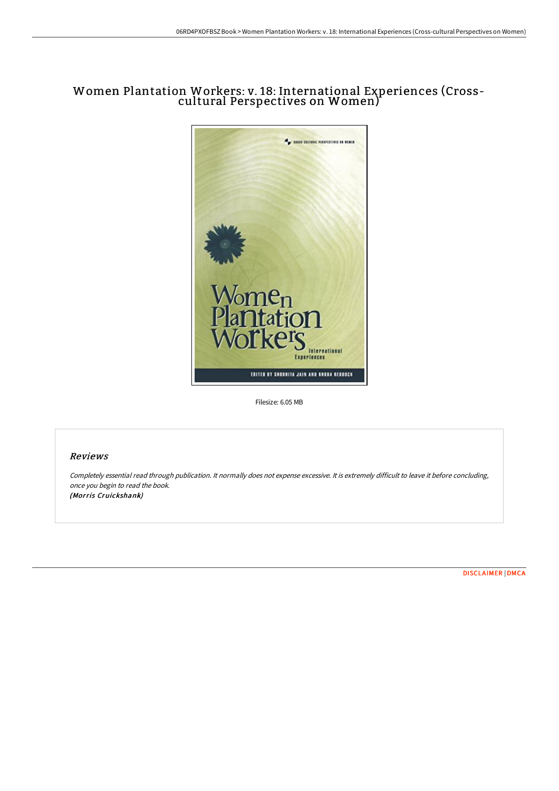# Women Plantation Workers: v. 18: International Experiences (Crosscultural Perspectives on Women)



Filesize: 6.05 MB

# Reviews

Completely essential read through publication. It normally does not expense excessive. It is extremely difficult to leave it before concluding, once you begin to read the book. (Morris Cruickshank)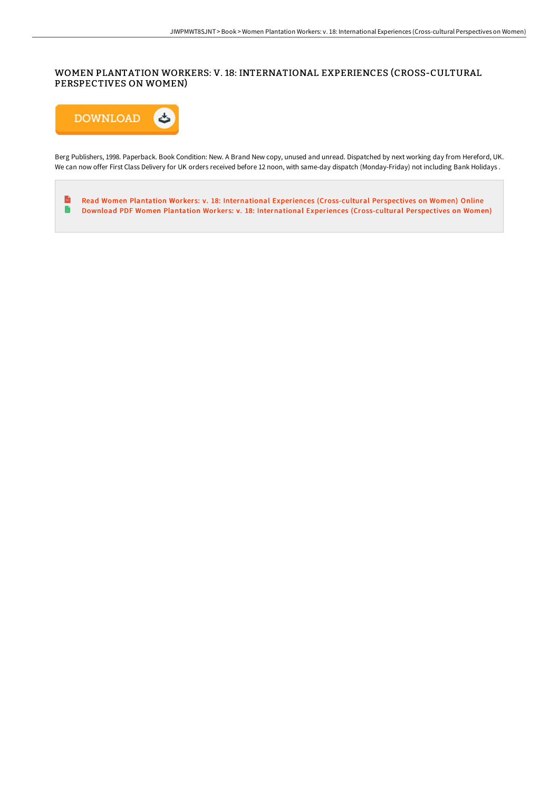# WOMEN PLANTATION WORKERS: V. 18: INTERNATIONAL EXPERIENCES (CROSS-CULTURAL PERSPECTIVES ON WOMEN)



Berg Publishers, 1998. Paperback. Book Condition: New. A Brand New copy, unused and unread. Dispatched by next working day from Hereford, UK. We can now offer First Class Delivery for UK orders received before 12 noon, with same-day dispatch (Monday-Friday) not including Bank Holidays .

 $\overline{\phantom{a}}$ Read Women Plantation Workers: v. 18: International Experiences [\(Cross-cultural](http://techno-pub.tech/women-plantation-workers-v-18-international-expe.html) Perspectives on Women) Online  $\blacksquare$ Download PDF Women Plantation Workers: v. 18: International Experiences [\(Cross-cultural](http://techno-pub.tech/women-plantation-workers-v-18-international-expe.html) Perspectives on Women)